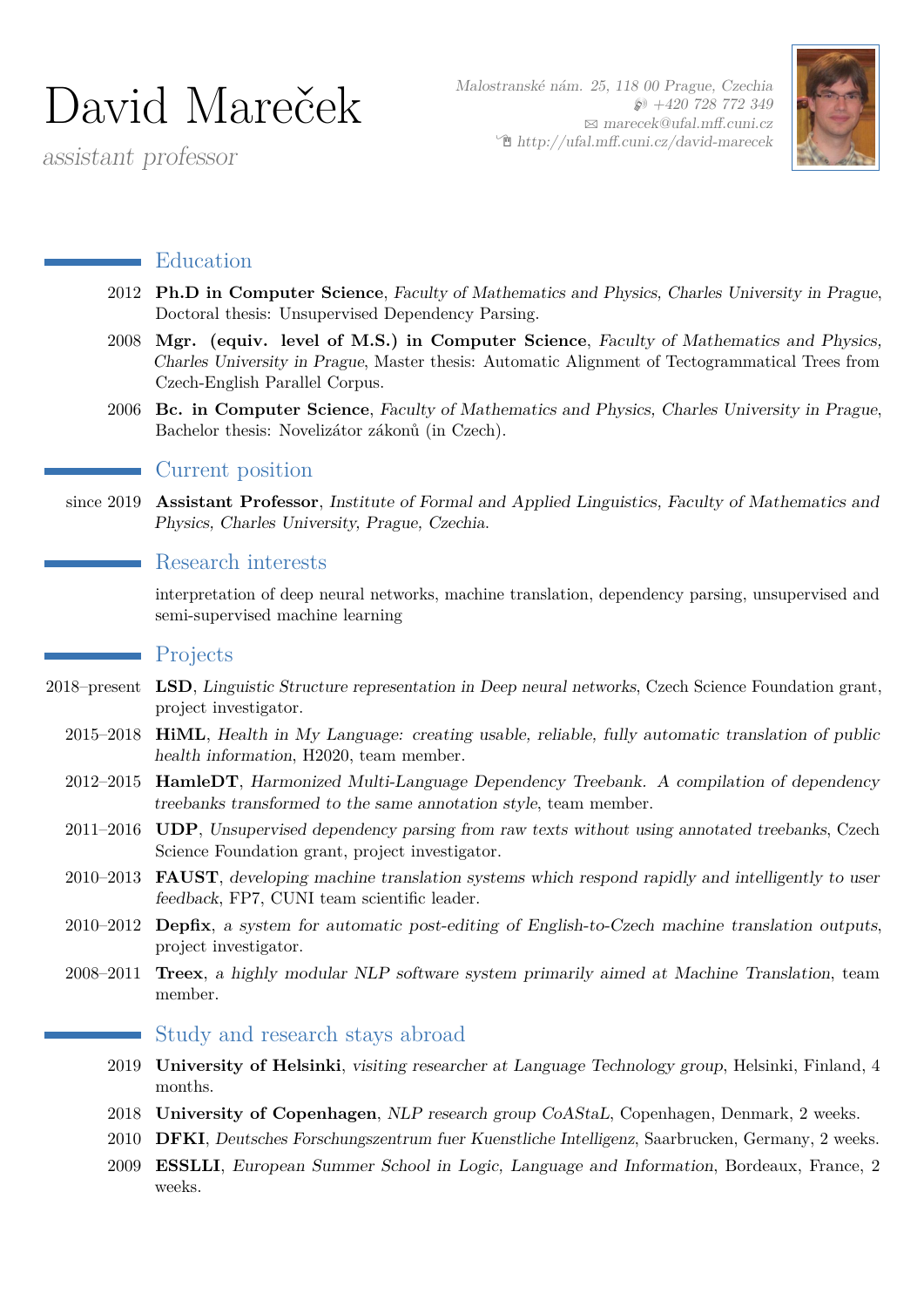# David Mareček

assistant professor

Malostranské nám. 25, 118 00 Prague, Czechia  $\wp$  +420 728 772 349  $\boxtimes$  [marecek@ufal.mff.cuni.cz](mailto:marecek@ufal.mff.cuni.cz)  $\mathcal{F}$ [http://ufal.mff.cuni.cz/david-marecek](http://http://ufal.mff.cuni.cz/david-marecek)



### **Education**

- 2012 **Ph.D in Computer Science**, Faculty of Mathematics and Physics, Charles University in Prague, Doctoral thesis: Unsupervised Dependency Parsing.
- 2008 **Mgr. (equiv. level of M.S.) in Computer Science**, Faculty of Mathematics and Physics, Charles University in Prague, Master thesis: Automatic Alignment of Tectogrammatical Trees from Czech-English Parallel Corpus.
- 2006 **Bc. in Computer Science**, Faculty of Mathematics and Physics, Charles University in Prague, Bachelor thesis: Novelizátor zákonů (in Czech).

#### Current position

since 2019 **Assistant Professor**, Institute of Formal and Applied Linguistics, Faculty of Mathematics and Physics, Charles University, Prague, Czechia.

#### **Research interests**

interpretation of deep neural networks, machine translation, dependency parsing, unsupervised and semi-supervised machine learning

#### Projects

- 2018–present **LSD**, Linguistic Structure representation in Deep neural networks, Czech Science Foundation grant, project investigator.
	- 2015–2018 **HiML**, Health in My Language: creating usable, reliable, fully automatic translation of public health information, H2020, team member.
	- 2012–2015 **HamleDT**, Harmonized Multi-Language Dependency Treebank. A compilation of dependency treebanks transformed to the same annotation style, team member.
	- 2011–2016 **UDP**, Unsupervised dependency parsing from raw texts without using annotated treebanks, Czech Science Foundation grant, project investigator.
	- 2010–2013 **FAUST**, developing machine translation systems which respond rapidly and intelligently to user feedback, FP7, CUNI team scientific leader.
	- 2010–2012 **Depfix**, a system for automatic post-editing of English-to-Czech machine translation outputs, project investigator.
	- 2008–2011 **Treex**, a highly modular NLP software system primarily aimed at Machine Translation, team member.

#### Study and research stays abroad

- 2019 **University of Helsinki**, visiting researcher at Language Technology group, Helsinki, Finland, 4 months.
- 2018 **University of Copenhagen**, NLP research group CoAStaL, Copenhagen, Denmark, 2 weeks.
- 2010 **DFKI**, Deutsches Forschungszentrum fuer Kuenstliche Intelligenz, Saarbrucken, Germany, 2 weeks.
- 2009 **ESSLLI**, European Summer School in Logic, Language and Information, Bordeaux, France, 2 weeks.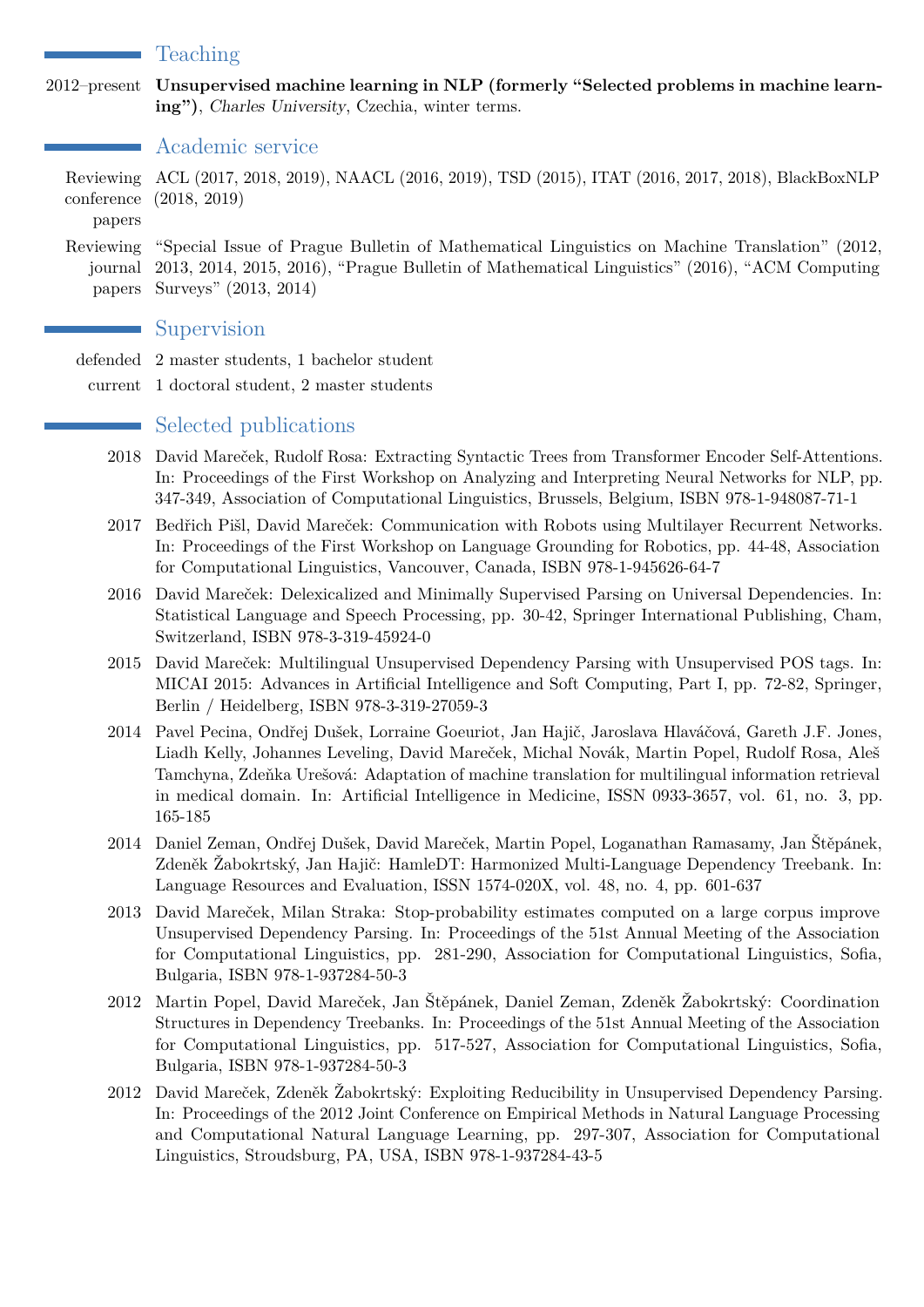#### Teaching

2012–present **Unsupervised machine learning in NLP (formerly "Selected problems in machine learning")**, Charles University, Czechia, winter terms.

#### Academic service

Reviewing ACL (2017, 2018, 2019), NAACL (2016, 2019), TSD (2015), ITAT (2016, 2017, 2018), BlackBoxNLP conference (2018, 2019)

papers

Reviewing "Special Issue of Prague Bulletin of Mathematical Linguistics on Machine Translation" (2012, journal 2013, 2014, 2015, 2016), "Prague Bulletin of Mathematical Linguistics" (2016), "ACM Computing papers Surveys" (2013, 2014)

#### **Supervision**

- defended 2 master students, 1 bachelor student
- current 1 doctoral student, 2 master students

#### Selected publications

- 2018 David Mareček, Rudolf Rosa: Extracting Syntactic Trees from Transformer Encoder Self-Attentions. In: Proceedings of the First Workshop on Analyzing and Interpreting Neural Networks for NLP, pp. 347-349, Association of Computational Linguistics, Brussels, Belgium, ISBN 978-1-948087-71-1
- 2017 Bedřich Pišl, David Mareček: Communication with Robots using Multilayer Recurrent Networks. In: Proceedings of the First Workshop on Language Grounding for Robotics, pp. 44-48, Association for Computational Linguistics, Vancouver, Canada, ISBN 978-1-945626-64-7
- 2016 David Mareček: Delexicalized and Minimally Supervised Parsing on Universal Dependencies. In: Statistical Language and Speech Processing, pp. 30-42, Springer International Publishing, Cham, Switzerland, ISBN 978-3-319-45924-0
- 2015 David Mareček: Multilingual Unsupervised Dependency Parsing with Unsupervised POS tags. In: MICAI 2015: Advances in Artificial Intelligence and Soft Computing, Part I, pp. 72-82, Springer, Berlin / Heidelberg, ISBN 978-3-319-27059-3
- 2014 Pavel Pecina, Ondřej Dušek, Lorraine Goeuriot, Jan Hajič, Jaroslava Hlaváčová, Gareth J.F. Jones, Liadh Kelly, Johannes Leveling, David Mareček, Michal Novák, Martin Popel, Rudolf Rosa, Aleš Tamchyna, Zdeňka Urešová: Adaptation of machine translation for multilingual information retrieval in medical domain. In: Artificial Intelligence in Medicine, ISSN 0933-3657, vol. 61, no. 3, pp. 165-185
- 2014 Daniel Zeman, Ondřej Dušek, David Mareček, Martin Popel, Loganathan Ramasamy, Jan Štěpánek, Zdeněk Žabokrtský, Jan Hajič: HamleDT: Harmonized Multi-Language Dependency Treebank. In: Language Resources and Evaluation, ISSN 1574-020X, vol. 48, no. 4, pp. 601-637
- 2013 David Mareček, Milan Straka: Stop-probability estimates computed on a large corpus improve Unsupervised Dependency Parsing. In: Proceedings of the 51st Annual Meeting of the Association for Computational Linguistics, pp. 281-290, Association for Computational Linguistics, Sofia, Bulgaria, ISBN 978-1-937284-50-3
- 2012 Martin Popel, David Mareček, Jan Štěpánek, Daniel Zeman, Zdeněk Žabokrtský: Coordination Structures in Dependency Treebanks. In: Proceedings of the 51st Annual Meeting of the Association for Computational Linguistics, pp. 517-527, Association for Computational Linguistics, Sofia, Bulgaria, ISBN 978-1-937284-50-3
- 2012 David Mareček, Zdeněk Žabokrtský: Exploiting Reducibility in Unsupervised Dependency Parsing. In: Proceedings of the 2012 Joint Conference on Empirical Methods in Natural Language Processing and Computational Natural Language Learning, pp. 297-307, Association for Computational Linguistics, Stroudsburg, PA, USA, ISBN 978-1-937284-43-5